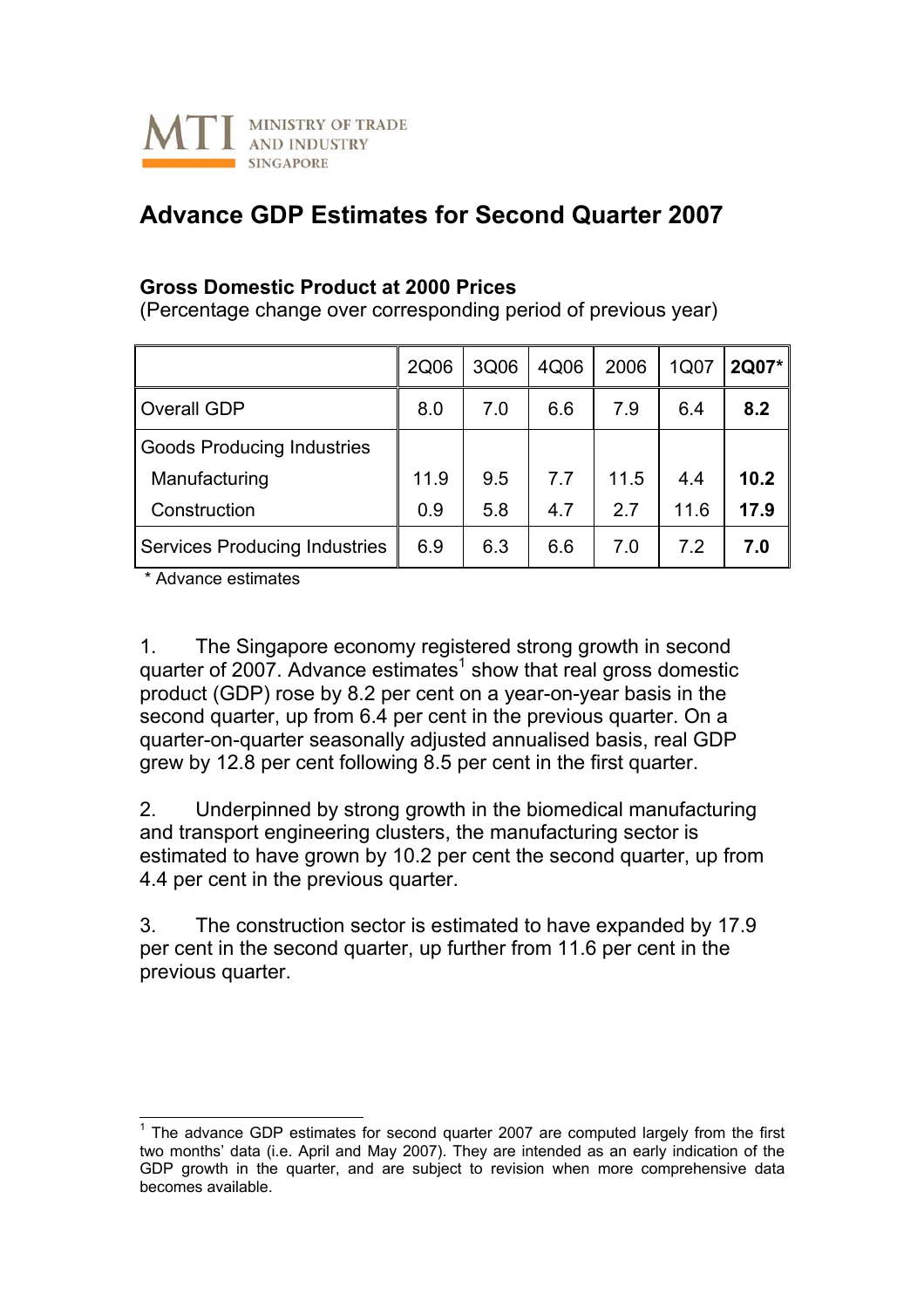

## **Advance GDP Estimates for Second Quarter 2007**

## **Gross Domestic Product at 2000 Prices**

(Percentage change over corresponding period of previous year)

|                                      | 2Q06 | 3Q06 | 4Q06 | 2006 | 1Q07 | 2Q07* |
|--------------------------------------|------|------|------|------|------|-------|
| <b>Overall GDP</b>                   | 8.0  | 7.0  | 6.6  | 7.9  | 6.4  | 8.2   |
| <b>Goods Producing Industries</b>    |      |      |      |      |      |       |
| Manufacturing                        | 11.9 | 9.5  | 7.7  | 11.5 | 4.4  | 10.2  |
| Construction                         | 0.9  | 5.8  | 4.7  | 27   | 11.6 | 17.9  |
| <b>Services Producing Industries</b> | 6.9  | 6.3  | 6.6  | 7.0  | 7.2  | 7.0   |

\* Advance estimates

1. The Singapore economy registered strong growth in second quarter of 2007. Advance estimates<sup>[1](#page-0-0)</sup> show that real gross domestic product (GDP) rose by 8.2 per cent on a year-on-year basis in the second quarter, up from 6.4 per cent in the previous quarter. On a quarter-on-quarter seasonally adjusted annualised basis, real GDP grew by 12.8 per cent following 8.5 per cent in the first quarter.

2. Underpinned by strong growth in the biomedical manufacturing and transport engineering clusters, the manufacturing sector is estimated to have grown by 10.2 per cent the second quarter, up from 4.4 per cent in the previous quarter.

3. The construction sector is estimated to have expanded by 17.9 per cent in the second quarter, up further from 11.6 per cent in the previous quarter.

<span id="page-0-0"></span>THE 2000 CODE estimates for second quarter 2007 are computed largely from the first two months' data (i.e. April and May 2007). They are intended as an early indication of the GDP growth in the quarter, and are subject to revision when more comprehensive data becomes available.